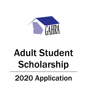

# Adult Student Scholarship 2020 Application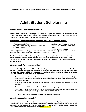# Adult Student Scholarship

#### What is the Adult Student Scholarship?

Adult Student Scholarships are designed to provide the opportunity for adults to attend college and make a positive difference in the lives of their families. The scholarship is to help cover the cost of tuition, fees, books, supplies, and other related expenses.

#### What scholarships are available for the 2020-2021 academic year?

Three Academic Awards<br>
Four Technical/Vocational Award Four Technical/Vocational Awards<br>
Four Technical Control Award 52,500 – H. L. Brantley Memorial \$2,500 – Emily Kicklighter Memorial Award \$2,500<br>\$2,000, \$1,500 – Award

\$1,500, \$1,000, \$1,000

(Depending on number of applicants, the committee reserves the right to distribute amounts. There could be 4 Academic and 3 Technical/Vocational if needed)

The Scholarship Committee will notify applicants and sponsoring housing authorities of selection or non-selection for personal interview by mid-April. Scholarship awards will be announced at the GAHRA Spring Conference at Jekyll Island, Georgia on Monday, May 18, 2020 following interviews with the finalists.

#### Who can apply for the scholarships?

In order to be eligible for an Adult Student Scholarship, you must be a resident who is a non-traditional student. A non-traditional student is defined as a resident age 18 and up who has graduated from high school or received a GED; however, delayed enrolling in college or technical school for at least a year. The resident must meet the following criteria:

- Current resident, with at least two years of residency (not required to be consecutive), of federally assisted housing or as a recipient of assistance through the Community Development Block Grant Program.
- Is in good standing with Housing Authority or Community Development Agency (no lease violations).
- Must have earned high school diploma or GED at least one year ago.
- Must currently be enrolled in a full- or part-time undergraduate course of study at an accredited two- or four-year college, university, or vocational/technical school.
- \*\*\* Must "not" have previously been awarded a GAHRA scholarship.

#### What is the deadline to apply?

Your completed application must be returned to your local Housing Authority or Community Development Office by on or before the deadline set by them. We encourage you to submit the application as soon as possible. Your authority/agency's nomination(s) must then be submitted to the GAHRA Scholarship Committee no later than **March 20, 2020.**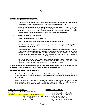#### What is the process for applying?

- 1. Applicants must complete the attached application and essay requirement. Applications are available at your Housing Authority or Community Development Office.
- 2. Current, complete, official college or technical/vocational transcript of grades for all prior courses taken. If the applicant's high school graduation date is not printed on the college transcript, a copy of the high school transcript, high school diploma, or other documentation must be enclosed showing the high school graduation date.
- 3. Copy of SAT/ACT scores, if applicable.
- 4. Copy of College Placement Exam (CPE) score.
- 5. Source and amount of other scholarship awards, received or pending.
- 6. Three letters of reference (teacher, employer, minister, or anyone with significant knowledge of the applicant).
- 7. A sponsorship letter from the Executive Director of your Housing Authority or the Director of your Community Development Program. The sponsoring agency must be an active member of GAHRA at the time of the application and they can only submit one academic (degree) and one technical/vocational (non-degree) application to the Scholarship Committee for the adult student award selection process.
- 8. The sponsoring agency must make a commitment to support travel expenses if their applicant(s) should be selected for an interview as one of the finalists. Finalists will be interviewed at the GAHRA Spring Conference in Jekyll Island, Georgia.

Applicants are responsible for gathering and submitting all necessary information by the deadline. All of the above must be submitted in order for the application to be considered.

#### How will the award be distributed?

- The school being attended by the winner will administer the scholarship award. If tuition and books are covered by other scholarships, the GAHRA scholarship award will be paid directly to the student.
- Funds may be used for one year or longer if approved by the Scholarship Committee. Failure to continue the required course of study will cause the unused portion of the funds to revert back to the Georgia Association of Housing and Redevelopment Authorities.

DEADLINES FOR SUBMITTAL- SCHOLARSHIP COMMITTEE PLEASE E-MAIL TO: [dhousing@bellsouth.net](mailto:dhousing@bellsouth.net) Then mail to: <br> **March 20, 2020 to the:** GAHRA Adult Scholarship Com. Brenda Smith, Co Chair, Dublin HA March 20, 2020 to the: GAHRA Adult Scholarship Com. c/o Brenda Smith, Dublin Housing Authority Vickie Paris, Dallas HA 500 W. Mary St. **Ella Murphy, Marietta HA**<br>
Dublin, GA 31021 Charles Alexander, Columl Charles Alexander, Columbus HA Joe Thomas, Camilla HA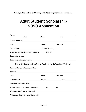**Georgia Association of Housing and Redevelopment Authorities, Inc.**

# Adult Student Scholarship <sup>2020</sup> Application

| Name:__________                                                                                                                                                                                                                |                                                                                                                                                                                                                                |      |  |
|--------------------------------------------------------------------------------------------------------------------------------------------------------------------------------------------------------------------------------|--------------------------------------------------------------------------------------------------------------------------------------------------------------------------------------------------------------------------------|------|--|
| First                                                                                                                                                                                                                          | Middle                                                                                                                                                                                                                         | Last |  |
|                                                                                                                                                                                                                                |                                                                                                                                                                                                                                |      |  |
| City: 2ip Code: 21 City: 2ip Code: 21 Code: 21 Code: 21 Code: 21 Code: 21 Code: 21 Code: 21 Code: 21 Code: 21 Code: 21 Code: 21 Code: 21 Code: 21 Code: 21 Code: 21 Code: 21 Code: 21 Code: 21 Code: 21 Code: 21 Code: 21 Code |                                                                                                                                                                                                                                |      |  |
|                                                                                                                                                                                                                                | Date of Birth: 2000 Contract Contract Phone Number: 2001 Contract Contract Contract Contract Contract Contract Contract Contract Contract Contract Contract Contract Contract Contract Contract Contract Contract Contract Con |      |  |
|                                                                                                                                                                                                                                | Years you have lived at present address: E-mail: E-mail:                                                                                                                                                                       |      |  |
|                                                                                                                                                                                                                                |                                                                                                                                                                                                                                |      |  |
|                                                                                                                                                                                                                                |                                                                                                                                                                                                                                |      |  |
| Type of Scholarship applying for: $\Box$ Academic or $\Box$ Vocational/Technical                                                                                                                                               |                                                                                                                                                                                                                                |      |  |
| Name of College or Technical School: Manual Accordination of College or Technical School:                                                                                                                                      |                                                                                                                                                                                                                                |      |  |
| Address: Andreas Address: Address: Address: Address: Address: Address: Address: Address: Address: Address: Address: Address: Address: Address: Address: Address: Address: Address: Address: Address: Address: Address: Address |                                                                                                                                                                                                                                |      |  |
|                                                                                                                                                                                                                                |                                                                                                                                                                                                                                |      |  |
|                                                                                                                                                                                                                                |                                                                                                                                                                                                                                |      |  |
| Expected Graduation Date: 2008. [19] Date:                                                                                                                                                                                     |                                                                                                                                                                                                                                |      |  |
| Are you currently receiving financial aid? _______Yes ___________No                                                                                                                                                            |                                                                                                                                                                                                                                |      |  |
|                                                                                                                                                                                                                                |                                                                                                                                                                                                                                |      |  |
| Please provide the source and amount: Network and the same state of the source of the source of the source of the source of the source of the source of the source of the source of the source of the source of the source of  |                                                                                                                                                                                                                                |      |  |
|                                                                                                                                                                                                                                |                                                                                                                                                                                                                                |      |  |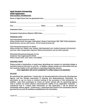#### Adult Student Scholarship 2020 Application

HIGH SCHOOL INFORMATION

Name of High School that you graduated from: Address: City: City: City: City: City: City: City: City: City: City: City: City: City: City: City: City: City: City: City: City: City: City: City: City: City: City: City: City: City: City: City: City: City: City: City: City: City: Graduation Date: Graduation Equivalency Diploma (GED) Date: FINANCIAL DATA Total Household Income for 2019: Please include family net wages, child support, alimony, food stamps, WIC, TANF, Public Assistance, Social Security, and any other income. Do not include financial aid. Total Household Expenses for 2019: Please include rent, utilities, food, clothing, child/dependent care, medical expenses and insurance,

auto loan, other transportation expenses, debts/loan payments, and any other expenses.

Estimated Educational Expenses for the Academic Year beginning Fall 2019: Please include tuition, fees, books, and supplies.

#### REQUIRED ESSAY

Please provide a handwritten or typed essay describing your reasons for attending college or technical school at this time in your life. In addition, please include any information that you feel would be helpful to the committee in selecting scholarship winners.

#### [Your application will not be considered if a written essay is not attached.]

#### RELEASE

By submitting this application, I hereby give my Housing Authority/Community Development Agency and the Georgia Association of Housing and Redevelopment Authorities, Inc. permission to use my name in matters relating to the promotion of this scholarship. In addition, I give them permission to review my tenant records with my sponsoring agency and/or contact my school office(s) concerning the validity of my application materials. I understand that if I submit false information on this application, I will be denied the scholarship without appeal. Furthermore, I understand that award of the scholarship shall be governed by any and all conditions established by the Committee.

| Applicant: |           |      |  |
|------------|-----------|------|--|
|            | Signature | Date |  |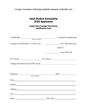**Georgia Association of Housing and Redevelopment Authorities, Inc.**

# Adult Student Scholarship 2020 Application

## Grade Point Average/Test Scores Certification Form

|                                       | 's cumulative grade point     |
|---------------------------------------|-------------------------------|
| I certify that <u>Name</u> of Student |                               |
| average as of December 31, 2019, was: | $\sim$ / on a 100 point scale |
|                                       | (and/or)                      |
|                                       | $\frac{1}{2}$ on a 4.00 scale |
| SAT Score:                            |                               |
|                                       |                               |
|                                       |                               |
|                                       | Date: <u>Date:</u>            |
| School Official                       |                               |
|                                       | Title:                        |
|                                       |                               |
|                                       | Address: <u>Address:</u>      |
|                                       | City:                         |
| State:                                | Zip Code:                     |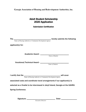**Georgia Association of Housing and Redevelopment Authorities, Inc.**

# Adult Student Scholarship 2020 Application

Submission Certification

The \_\_\_\_\_\_\_\_\_\_\_\_\_\_\_\_\_\_\_\_\_\_\_\_\_\_\_\_\_\_\_\_\_\_\_\_\_\_ hereby submits the following

 *Name of Housing Authority or Community Development Agency*

applicant(s) for:

Academic Award - \_\_\_\_\_\_\_\_\_\_\_\_\_\_\_\_\_\_\_\_\_\_\_\_\_\_\_\_\_

*Name of Student*

Vocational/Technical Award - \_\_\_\_\_\_\_\_\_\_\_\_\_\_\_\_\_\_\_\_\_\_\_\_\_\_\_\_\_\_\_\_\_\_

*Name of Student*

I certify that the \_\_\_\_\_\_\_\_\_\_\_\_\_\_\_\_\_\_\_\_\_\_\_\_\_\_\_\_\_\_\_\_\_\_\_\_\_ will cover

 *Name of Housing Authority or Community Development Agency*

associated costs and coordinate travel arrangements if our applicant(s) is

selected as a finalist to be interviewed in Jekyll Island, Georgia at the GAHRA

Spring Conference.

Signature: \_\_\_\_\_\_\_\_\_\_\_\_\_\_\_\_\_\_\_\_\_\_\_\_\_\_\_\_\_ Date: \_\_\_\_\_\_\_\_\_\_\_\_\_\_\_\_ *Executive Director*